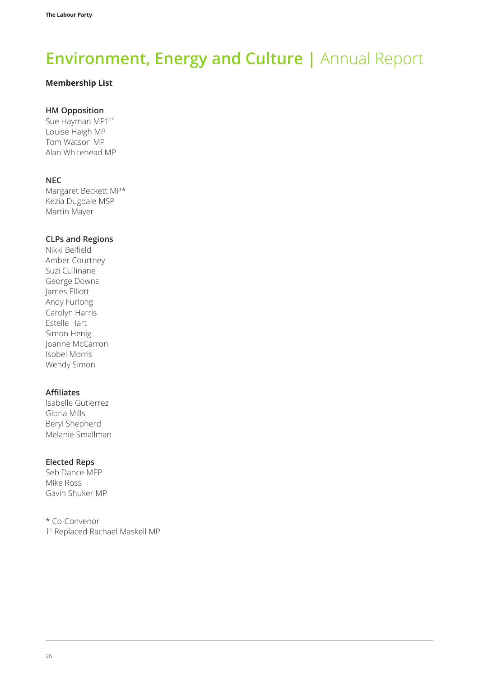#### **Membership List**

### **HM Opposition**

Sue Hayman MP†1\* Louise Haigh MP Tom Watson MP Alan Whitehead MP

#### **NEC**

Margaret Beckett MP\* Kezia Dugdale MSP Martin Mayer

#### **CLPs and Regions**

Nikki Belfield Amber Courtney Suzi Cullinane George Downs James Elliott Andy Furlong Carolyn Harris Estelle Hart Simon Henig Joanne McCarron Isobel Morris Wendy Simon

#### **Affiliates**

Isabelle Gutierrez Gloria Mills Beryl Shepherd Melanie Smallman

#### **Elected Reps**

Seb Dance MEP Mike Ross Gavin Shuker MP

\* Co-Convenor †1 Replaced Rachael Maskell MP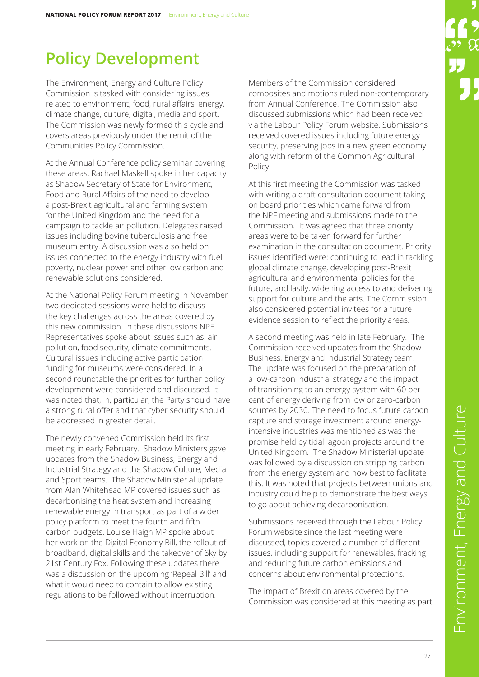## **Policy Development**

The Environment, Energy and Culture Policy Commission is tasked with considering issues related to environment, food, rural affairs, energy, climate change, culture, digital, media and sport. The Commission was newly formed this cycle and covers areas previously under the remit of the Communities Policy Commission.

At the Annual Conference policy seminar covering these areas, Rachael Maskell spoke in her capacity as Shadow Secretary of State for Environment, Food and Rural Affairs of the need to develop a post-Brexit agricultural and farming system for the United Kingdom and the need for a campaign to tackle air pollution. Delegates raised issues including bovine tuberculosis and free museum entry. A discussion was also held on issues connected to the energy industry with fuel poverty, nuclear power and other low carbon and renewable solutions considered.

At the National Policy Forum meeting in November two dedicated sessions were held to discuss the key challenges across the areas covered by this new commission. In these discussions NPF Representatives spoke about issues such as: air pollution, food security, climate commitments. Cultural issues including active participation funding for museums were considered. In a second roundtable the priorities for further policy development were considered and discussed. It was noted that, in, particular, the Party should have a strong rural offer and that cyber security should be addressed in greater detail.

The newly convened Commission held its first meeting in early February. Shadow Ministers gave updates from the Shadow Business, Energy and Industrial Strategy and the Shadow Culture, Media and Sport teams. The Shadow Ministerial update from Alan Whitehead MP covered issues such as decarbonising the heat system and increasing renewable energy in transport as part of a wider policy platform to meet the fourth and fifth carbon budgets. Louise Haigh MP spoke about her work on the Digital Economy Bill, the rollout of broadband, digital skills and the takeover of Sky by 21st Century Fox. Following these updates there was a discussion on the upcoming 'Repeal Bill' and what it would need to contain to allow existing regulations to be followed without interruption.

Members of the Commission considered composites and motions ruled non-contemporary from Annual Conference. The Commission also discussed submissions which had been received via the Labour Policy Forum website. Submissions received covered issues including future energy security, preserving jobs in a new green economy along with reform of the Common Agricultural Policy.

At this first meeting the Commission was tasked with writing a draft consultation document taking on board priorities which came forward from the NPF meeting and submissions made to the Commission. It was agreed that three priority areas were to be taken forward for further examination in the consultation document. Priority issues identified were: continuing to lead in tackling global climate change, developing post-Brexit agricultural and environmental policies for the future, and lastly, widening access to and delivering support for culture and the arts. The Commission also considered potential invitees for a future evidence session to reflect the priority areas.

A second meeting was held in late February. The Commission received updates from the Shadow Business, Energy and Industrial Strategy team. The update was focused on the preparation of a low-carbon industrial strategy and the impact of transitioning to an energy system with 60 per cent of energy deriving from low or zero-carbon sources by 2030. The need to focus future carbon capture and storage investment around energyintensive industries was mentioned as was the promise held by tidal lagoon projects around the United Kingdom. The Shadow Ministerial update was followed by a discussion on stripping carbon from the energy system and how best to facilitate this. It was noted that projects between unions and industry could help to demonstrate the best ways to go about achieving decarbonisation.

Submissions received through the Labour Policy Forum website since the last meeting were discussed, topics covered a number of different issues, including support for renewables, fracking and reducing future carbon emissions and concerns about environmental protections.

The impact of Brexit on areas covered by the Commission was considered at this meeting as part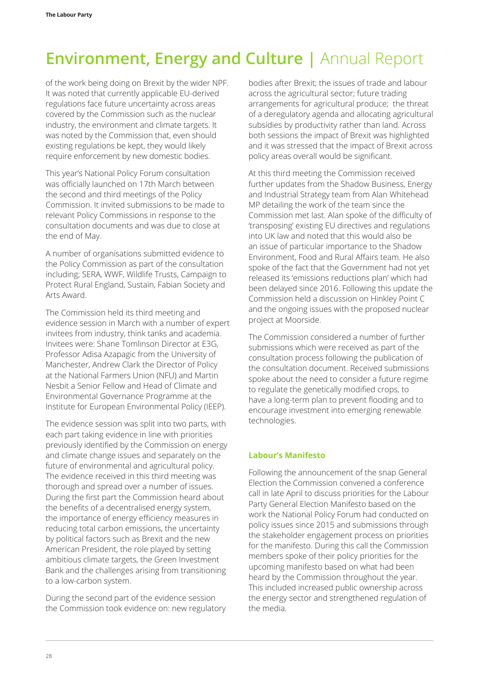of the work being doing on Brexit by the wider NPF. It was noted that currently applicable EU-derived regulations face future uncertainty across areas covered by the Commission such as the nuclear industry, the environment and climate targets. It was noted by the Commission that, even should existing regulations be kept, they would likely require enforcement by new domestic bodies.

This year's National Policy Forum consultation was officially launched on 17th March between the second and third meetings of the Policy Commission. It invited submissions to be made to relevant Policy Commissions in response to the consultation documents and was due to close at the end of May.

A number of organisations submitted evidence to the Policy Commission as part of the consultation including; SERA, WWF, Wildlife Trusts, Campaign to Protect Rural England, Sustain, Fabian Society and Arts Award.

The Commission held its third meeting and evidence session in March with a number of expert invitees from industry, think tanks and academia. Invitees were: Shane Tomlinson Director at E3G, Professor Adisa Azapagic from the University of Manchester, Andrew Clark the Director of Policy at the National Farmers Union (NFU) and Martin Nesbit a Senior Fellow and Head of Climate and Environmental Governance Programme at the Institute for European Environmental Policy (IEEP).

The evidence session was split into two parts, with each part taking evidence in line with priorities previously identified by the Commission on energy and climate change issues and separately on the future of environmental and agricultural policy. The evidence received in this third meeting was thorough and spread over a number of issues. During the first part the Commission heard about the benefits of a decentralised energy system, the importance of energy efficiency measures in reducing total carbon emissions, the uncertainty by political factors such as Brexit and the new American President, the role played by setting ambitious climate targets, the Green Investment Bank and the challenges arising from transitioning to a low-carbon system.

During the second part of the evidence session the Commission took evidence on: new regulatory

bodies after Brexit; the issues of trade and labour across the agricultural sector; future trading arrangements for agricultural produce; the threat of a deregulatory agenda and allocating agricultural subsidies by productivity rather than land. Across both sessions the impact of Brexit was highlighted and it was stressed that the impact of Brexit across policy areas overall would be significant.

At this third meeting the Commission received further updates from the Shadow Business, Energy and Industrial Strategy team from Alan Whitehead MP detailing the work of the team since the Commission met last. Alan spoke of the difficulty of 'transposing' existing EU directives and regulations into UK law and noted that this would also be an issue of particular importance to the Shadow Environment, Food and Rural Affairs team. He also spoke of the fact that the Government had not yet released its 'emissions reductions plan' which had been delayed since 2016. Following this update the Commission held a discussion on Hinkley Point C and the ongoing issues with the proposed nuclear project at Moorside.

The Commission considered a number of further submissions which were received as part of the consultation process following the publication of the consultation document. Received submissions spoke about the need to consider a future regime to regulate the genetically modified crops, to have a long-term plan to prevent flooding and to encourage investment into emerging renewable technologies.

## **Labour's Manifesto**

Following the announcement of the snap General Election the Commission convened a conference call in late April to discuss priorities for the Labour Party General Election Manifesto based on the work the National Policy Forum had conducted on policy issues since 2015 and submissions through the stakeholder engagement process on priorities for the manifesto. During this call the Commission members spoke of their policy priorities for the upcoming manifesto based on what had been heard by the Commission throughout the year. This included increased public ownership across the energy sector and strengthened regulation of the media.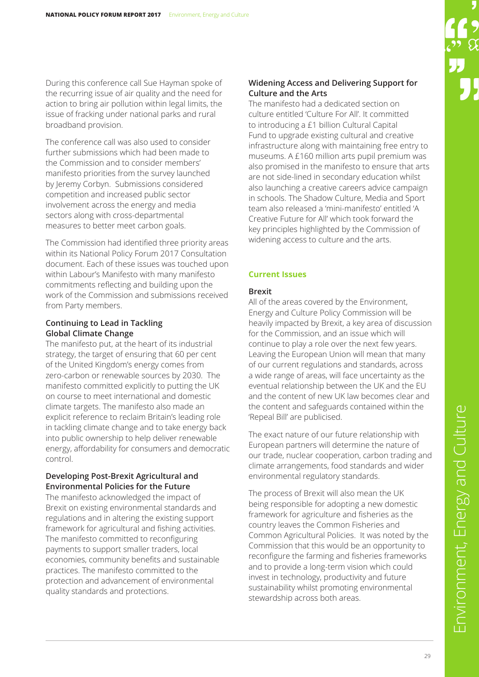During this conference call Sue Hayman spoke of the recurring issue of air quality and the need for action to bring air pollution within legal limits, the issue of fracking under national parks and rural broadband provision.

The conference call was also used to consider further submissions which had been made to the Commission and to consider members' manifesto priorities from the survey launched by Jeremy Corbyn. Submissions considered competition and increased public sector involvement across the energy and media sectors along with cross-departmental measures to better meet carbon goals.

The Commission had identified three priority areas within its National Policy Forum 2017 Consultation document. Each of these issues was touched upon within Labour's Manifesto with many manifesto commitments reflecting and building upon the work of the Commission and submissions received from Party members.

### **Continuing to Lead in Tackling Global Climate Change**

The manifesto put, at the heart of its industrial strategy, the target of ensuring that 60 per cent of the United Kingdom's energy comes from zero-carbon or renewable sources by 2030. The manifesto committed explicitly to putting the UK on course to meet international and domestic climate targets. The manifesto also made an explicit reference to reclaim Britain's leading role in tackling climate change and to take energy back into public ownership to help deliver renewable energy, affordability for consumers and democratic control.

#### **Developing Post-Brexit Agricultural and Environmental Policies for the Future**

The manifesto acknowledged the impact of Brexit on existing environmental standards and regulations and in altering the existing support framework for agricultural and fishing activities. The manifesto committed to reconfiguring payments to support smaller traders, local economies, community benefits and sustainable practices. The manifesto committed to the protection and advancement of environmental quality standards and protections.

#### **Widening Access and Delivering Support for Culture and the Arts**

The manifesto had a dedicated section on culture entitled 'Culture For All'. It committed to introducing a £1 billion Cultural Capital Fund to upgrade existing cultural and creative infrastructure along with maintaining free entry to museums. A £160 million arts pupil premium was also promised in the manifesto to ensure that arts are not side-lined in secondary education whilst also launching a creative careers advice campaign in schools. The Shadow Culture, Media and Sport team also released a 'mini-manifesto' entitled 'A Creative Future for All' which took forward the key principles highlighted by the Commission of widening access to culture and the arts.

## **Current Issues**

#### **Brexit**

All of the areas covered by the Environment, Energy and Culture Policy Commission will be heavily impacted by Brexit, a key area of discussion for the Commission, and an issue which will continue to play a role over the next few years. Leaving the European Union will mean that many of our current regulations and standards, across a wide range of areas, will face uncertainty as the eventual relationship between the UK and the EU and the content of new UK law becomes clear and the content and safeguards contained within the 'Repeal Bill' are publicised.

The exact nature of our future relationship with European partners will determine the nature of our trade, nuclear cooperation, carbon trading and climate arrangements, food standards and wider environmental regulatory standards.

The process of Brexit will also mean the UK being responsible for adopting a new domestic framework for agriculture and fisheries as the country leaves the Common Fisheries and Common Agricultural Policies. It was noted by the Commission that this would be an opportunity to reconfigure the farming and fisheries frameworks and to provide a long-term vision which could invest in technology, productivity and future sustainability whilst promoting environmental stewardship across both areas.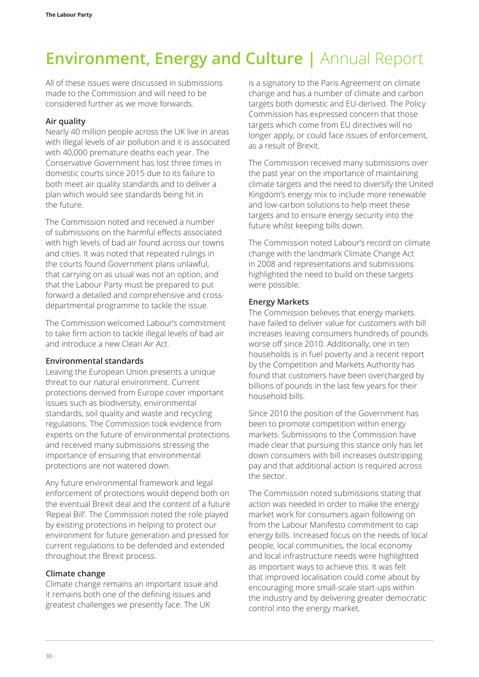All of these issues were discussed in submissions made to the Commission and will need to be considered further as we move forwards.

#### **Air quality**

Nearly 40 million people across the UK live in areas with illegal levels of air pollution and it is associated with 40,000 premature deaths each year. The Conservative Government has lost three times in domestic courts since 2015 due to its failure to both meet air quality standards and to deliver a plan which would see standards being hit in the future.

The Commission noted and received a number of submissions on the harmful effects associated with high levels of bad air found across our towns and cities. It was noted that repeated rulings in the courts found Government plans unlawful, that carrying on as usual was not an option, and that the Labour Party must be prepared to put forward a detailed and comprehensive and crossdepartmental programme to tackle the issue.

The Commission welcomed Labour's commitment to take firm action to tackle illegal levels of bad air and introduce a new Clean Air Act.

#### **Environmental standards**

Leaving the European Union presents a unique threat to our natural environment. Current protections derived from Europe cover important issues such as biodiversity, environmental standards, soil quality and waste and recycling regulations. The Commission took evidence from experts on the future of environmental protections and received many submissions stressing the importance of ensuring that environmental protections are not watered down.

Any future environmental framework and legal enforcement of protections would depend both on the eventual Brexit deal and the content of a future 'Repeal Bill'. The Commission noted the role played by existing protections in helping to protect our environment for future generation and pressed for current regulations to be defended and extended throughout the Brexit process.

#### **Climate change**

Climate change remains an important issue and it remains both one of the defining issues and greatest challenges we presently face. The UK

is a signatory to the Paris Agreement on climate change and has a number of climate and carbon targets both domestic and EU-derived. The Policy Commission has expressed concern that those targets which come from EU directives will no longer apply, or could face issues of enforcement, as a result of Brexit.

The Commission received many submissions over the past year on the importance of maintaining climate targets and the need to diversify the United Kingdom's energy mix to include more renewable and low-carbon solutions to help meet these targets and to ensure energy security into the future whilst keeping bills down.

The Commission noted Labour's record on climate change with the landmark Climate Change Act in 2008 and representations and submissions highlighted the need to build on these targets were possible.

#### **Energy Markets**

The Commission believes that energy markets have failed to deliver value for customers with bill increases leaving consumers hundreds of pounds worse off since 2010. Additionally, one in ten households is in fuel poverty and a recent report by the Competition and Markets Authority has found that customers have been overcharged by billions of pounds in the last few years for their household bills.

Since 2010 the position of the Government has been to promote competition within energy markets. Submissions to the Commission have made clear that pursuing this stance only has let down consumers with bill increases outstripping pay and that additional action is required across the sector.

The Commission noted submissions stating that action was needed in order to make the energy market work for consumers again following on from the Labour Manifesto commitment to cap energy bills. Increased focus on the needs of local people, local communities, the local economy and local infrastructure needs were highlighted as important ways to achieve this. It was felt that improved localisation could come about by encouraging more small-scale start-ups within the industry and by delivering greater democratic control into the energy market.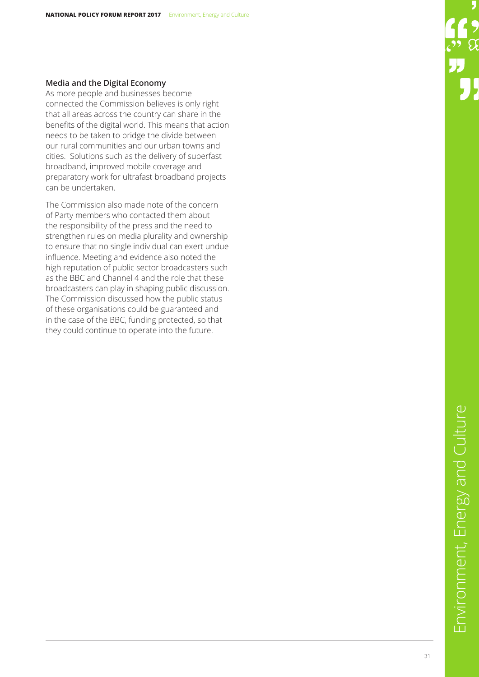#### **Media and the Digital Economy**

As more people and businesses become connected the Commission believes is only right that all areas across the country can share in the benefits of the digital world. This means that action needs to be taken to bridge the divide between our rural communities and our urban towns and cities. Solutions such as the delivery of superfast broadband, improved mobile coverage and preparatory work for ultrafast broadband projects can be undertaken.

The Commission also made note of the concern of Party members who contacted them about the responsibility of the press and the need to strengthen rules on media plurality and ownership to ensure that no single individual can exert undue influence. Meeting and evidence also noted the high reputation of public sector broadcasters such as the BBC and Channel 4 and the role that these broadcasters can play in shaping public discussion. The Commission discussed how the public status of these organisations could be guaranteed and in the case of the BBC, funding protected, so that they could continue to operate into the future.